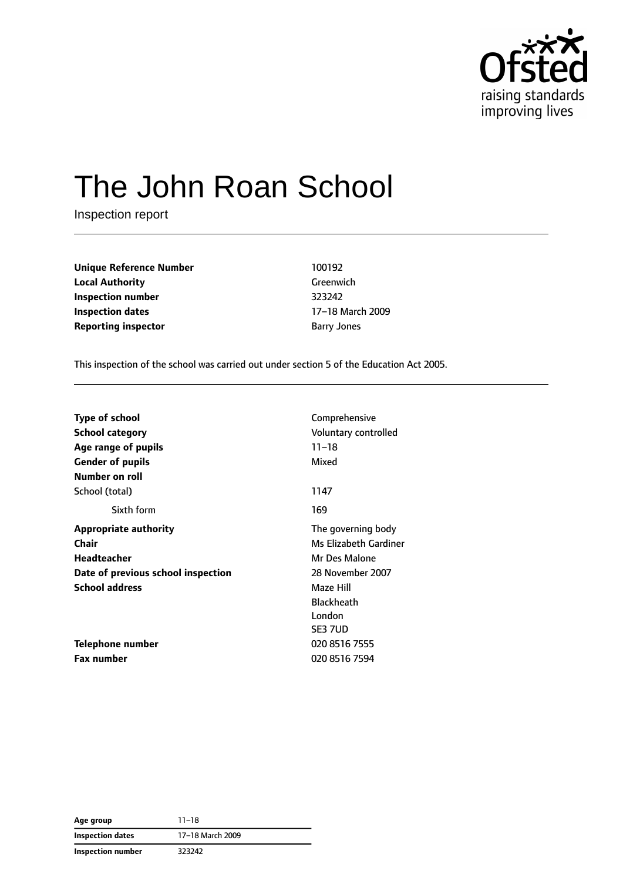

# The John Roan School

Inspection report

**Unique Reference Number** 100192 **Local Authority** Greenwich **Inspection number** 323242 **Inspection dates** 17–18 March 2009 **Reporting inspector Barry Jones** Barry Jones

This inspection of the school was carried out under section 5 of the Education Act 2005.

| <b>Type of school</b>              | Comprehensive         |
|------------------------------------|-----------------------|
| School category                    | Voluntary controlled  |
| Age range of pupils                | $11 - 18$             |
| <b>Gender of pupils</b>            | Mixed                 |
| Number on roll                     |                       |
| School (total)                     | 1147                  |
| Sixth form                         | 169                   |
| <b>Appropriate authority</b>       | The governing body    |
| Chair                              | Ms Elizabeth Gardiner |
| Headteacher                        | Mr Des Malone         |
| Date of previous school inspection | 28 November 2007      |
| <b>School address</b>              | Maze Hill             |
|                                    | <b>Blackheath</b>     |
|                                    | London                |
|                                    | SE3 7UD               |
| Telephone number                   | 020 8516 7555         |
| Fax number                         | 020 8516 7594         |

**Age group** 11–18 **Inspection dates** 17–18 March 2009 **Inspection number** 323242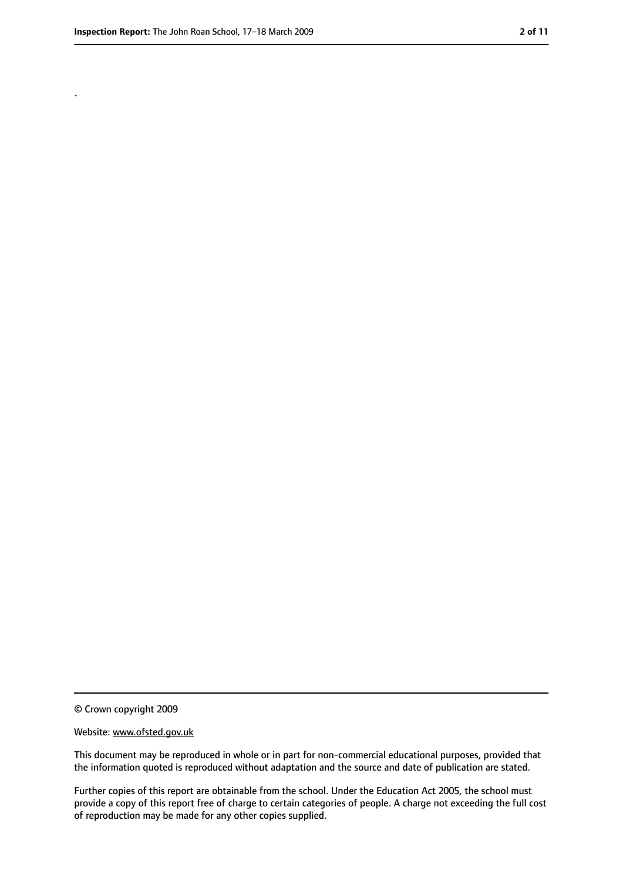.

<sup>©</sup> Crown copyright 2009

Website: www.ofsted.gov.uk

This document may be reproduced in whole or in part for non-commercial educational purposes, provided that the information quoted is reproduced without adaptation and the source and date of publication are stated.

Further copies of this report are obtainable from the school. Under the Education Act 2005, the school must provide a copy of this report free of charge to certain categories of people. A charge not exceeding the full cost of reproduction may be made for any other copies supplied.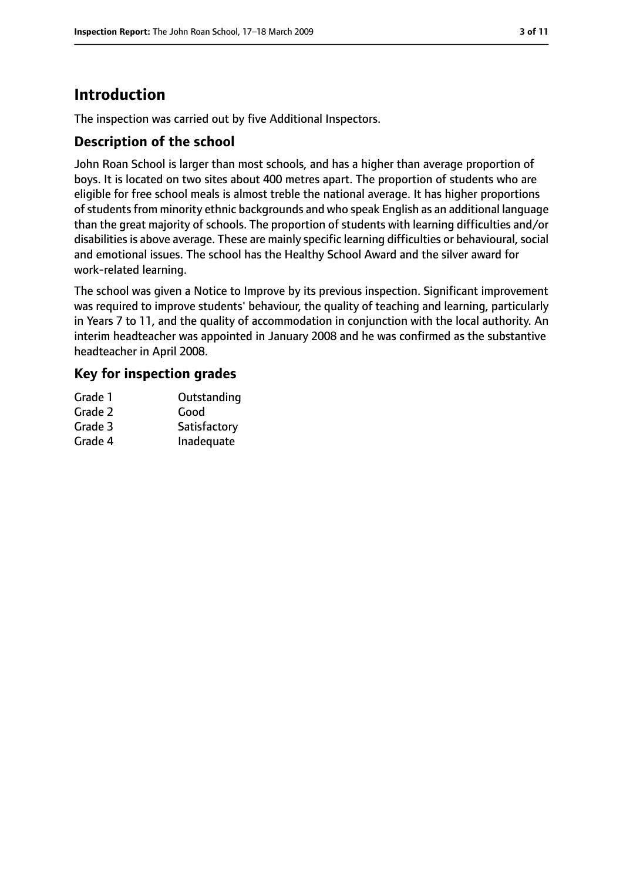# **Introduction**

The inspection was carried out by five Additional Inspectors.

#### **Description of the school**

John Roan School is larger than most schools, and has a higher than average proportion of boys. It is located on two sites about 400 metres apart. The proportion of students who are eligible for free school meals is almost treble the national average. It has higher proportions of students from minority ethnic backgrounds and who speak English as an additional language than the great majority of schools. The proportion of students with learning difficulties and/or disabilities is above average. These are mainly specific learning difficulties or behavioural, social and emotional issues. The school has the Healthy School Award and the silver award for work-related learning.

The school was given a Notice to Improve by its previous inspection. Significant improvement was required to improve students' behaviour, the quality of teaching and learning, particularly in Years 7 to 11, and the quality of accommodation in conjunction with the local authority. An interim headteacher was appointed in January 2008 and he was confirmed as the substantive headteacher in April 2008.

#### **Key for inspection grades**

| Outstanding  |
|--------------|
| Good         |
| Satisfactory |
| Inadequate   |
|              |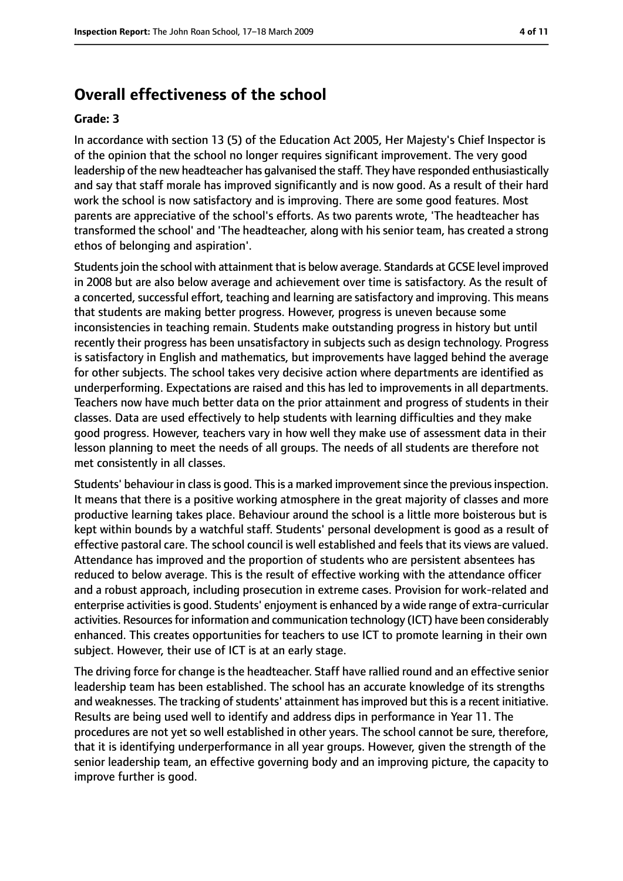#### **Overall effectiveness of the school**

#### **Grade: 3**

In accordance with section 13 (5) of the Education Act 2005, Her Majesty's Chief Inspector is of the opinion that the school no longer requires significant improvement. The very good leadership of the new headteacher has galvanised the staff. They have responded enthusiastically and say that staff morale has improved significantly and is now good. As a result of their hard work the school is now satisfactory and is improving. There are some good features. Most parents are appreciative of the school's efforts. As two parents wrote, 'The headteacher has transformed the school' and 'The headteacher, along with his senior team, has created a strong ethos of belonging and aspiration'.

Studentsjoin the school with attainment that is below average. Standards at GCSE level improved in 2008 but are also below average and achievement over time is satisfactory. As the result of a concerted, successful effort, teaching and learning are satisfactory and improving. This means that students are making better progress. However, progress is uneven because some inconsistencies in teaching remain. Students make outstanding progress in history but until recently their progress has been unsatisfactory in subjects such as design technology. Progress is satisfactory in English and mathematics, but improvements have lagged behind the average for other subjects. The school takes very decisive action where departments are identified as underperforming. Expectations are raised and this has led to improvements in all departments. Teachers now have much better data on the prior attainment and progress of students in their classes. Data are used effectively to help students with learning difficulties and they make good progress. However, teachers vary in how well they make use of assessment data in their lesson planning to meet the needs of all groups. The needs of all students are therefore not met consistently in all classes.

Students' behaviour in class is good. This is a marked improvement since the previous inspection. It means that there is a positive working atmosphere in the great majority of classes and more productive learning takes place. Behaviour around the school is a little more boisterous but is kept within bounds by a watchful staff. Students' personal development is good as a result of effective pastoral care. The school council is well established and feels that its views are valued. Attendance has improved and the proportion of students who are persistent absentees has reduced to below average. This is the result of effective working with the attendance officer and a robust approach, including prosecution in extreme cases. Provision for work-related and enterprise activities is good. Students' enjoyment is enhanced by a wide range of extra-curricular activities. Resources for information and communication technology (ICT) have been considerably enhanced. This creates opportunities for teachers to use ICT to promote learning in their own subject. However, their use of ICT is at an early stage.

The driving force for change is the headteacher. Staff have rallied round and an effective senior leadership team has been established. The school has an accurate knowledge of its strengths and weaknesses. The tracking of students' attainment has improved but this is a recent initiative. Results are being used well to identify and address dips in performance in Year 11. The procedures are not yet so well established in other years. The school cannot be sure, therefore, that it is identifying underperformance in all year groups. However, given the strength of the senior leadership team, an effective governing body and an improving picture, the capacity to improve further is good.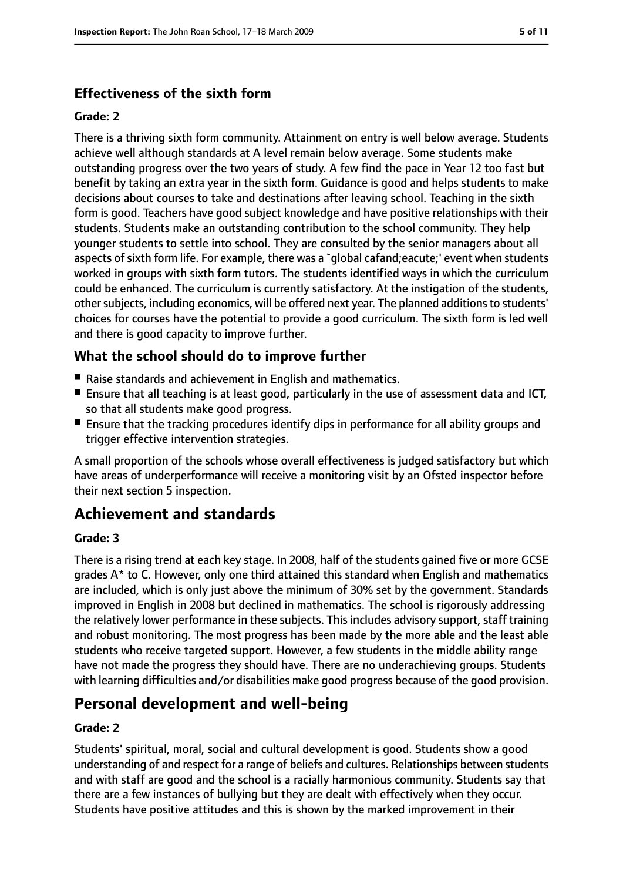#### **Effectiveness of the sixth form**

#### **Grade: 2**

There is a thriving sixth form community. Attainment on entry is well below average. Students achieve well although standards at A level remain below average. Some students make outstanding progress over the two years of study. A few find the pace in Year 12 too fast but benefit by taking an extra year in the sixth form. Guidance is good and helps students to make decisions about courses to take and destinations after leaving school. Teaching in the sixth form is good. Teachers have good subject knowledge and have positive relationships with their students. Students make an outstanding contribution to the school community. They help younger students to settle into school. They are consulted by the senior managers about all aspects of sixth form life. For example, there was a `qlobal cafand;eacute;' event when students worked in groups with sixth form tutors. The students identified ways in which the curriculum could be enhanced. The curriculum is currently satisfactory. At the instigation of the students, other subjects, including economics, will be offered next year. The planned additions to students' choices for courses have the potential to provide a good curriculum. The sixth form is led well and there is good capacity to improve further.

#### **What the school should do to improve further**

- Raise standards and achievement in English and mathematics.
- Ensure that all teaching is at least good, particularly in the use of assessment data and ICT, so that all students make good progress.
- Ensure that the tracking procedures identify dips in performance for all ability groups and trigger effective intervention strategies.

A small proportion of the schools whose overall effectiveness is judged satisfactory but which have areas of underperformance will receive a monitoring visit by an Ofsted inspector before their next section 5 inspection.

# **Achievement and standards**

#### **Grade: 3**

There is a rising trend at each key stage. In 2008, half of the students gained five or more GCSE grades A\* to C. However, only one third attained this standard when English and mathematics are included, which is only just above the minimum of 30% set by the government. Standards improved in English in 2008 but declined in mathematics. The school is rigorously addressing the relatively lower performance in these subjects. This includes advisory support, staff training and robust monitoring. The most progress has been made by the more able and the least able students who receive targeted support. However, a few students in the middle ability range have not made the progress they should have. There are no underachieving groups. Students with learning difficulties and/or disabilities make good progress because of the good provision.

# **Personal development and well-being**

#### **Grade: 2**

Students' spiritual, moral, social and cultural development is good. Students show a good understanding of and respect for a range of beliefs and cultures. Relationships between students and with staff are good and the school is a racially harmonious community. Students say that there are a few instances of bullying but they are dealt with effectively when they occur. Students have positive attitudes and this is shown by the marked improvement in their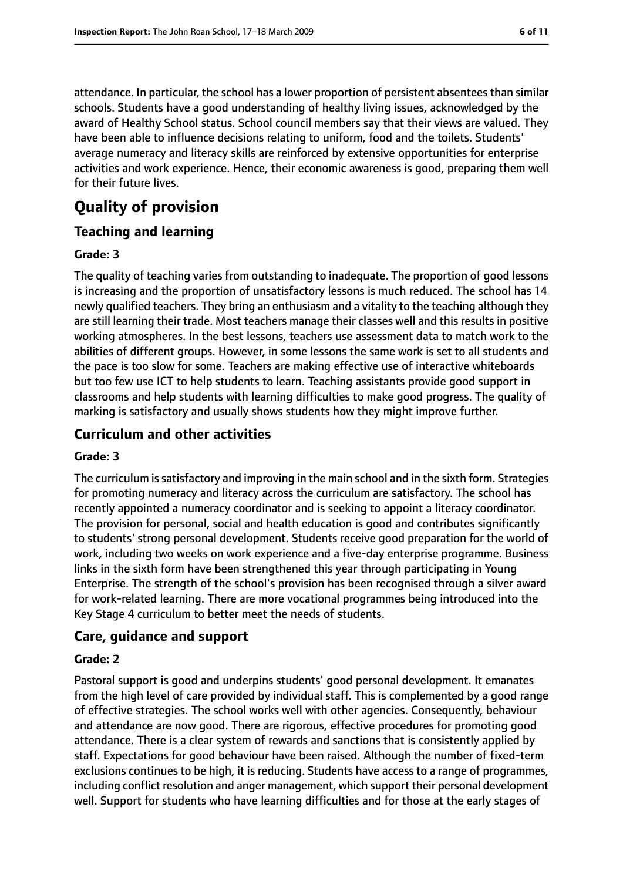attendance. In particular, the school has a lower proportion of persistent absentees than similar schools. Students have a good understanding of healthy living issues, acknowledged by the award of Healthy School status. School council members say that their views are valued. They have been able to influence decisions relating to uniform, food and the toilets. Students' average numeracy and literacy skills are reinforced by extensive opportunities for enterprise activities and work experience. Hence, their economic awareness is good, preparing them well for their future lives.

# **Quality of provision**

#### **Teaching and learning**

#### **Grade: 3**

The quality of teaching varies from outstanding to inadequate. The proportion of good lessons is increasing and the proportion of unsatisfactory lessons is much reduced. The school has 14 newly qualified teachers. They bring an enthusiasm and a vitality to the teaching although they are still learning their trade. Most teachers manage their classes well and this results in positive working atmospheres. In the best lessons, teachers use assessment data to match work to the abilities of different groups. However, in some lessons the same work is set to all students and the pace is too slow for some. Teachers are making effective use of interactive whiteboards but too few use ICT to help students to learn. Teaching assistants provide good support in classrooms and help students with learning difficulties to make good progress. The quality of marking is satisfactory and usually shows students how they might improve further.

#### **Curriculum and other activities**

#### **Grade: 3**

The curriculum is satisfactory and improving in the main school and in the sixth form. Strategies for promoting numeracy and literacy across the curriculum are satisfactory. The school has recently appointed a numeracy coordinator and is seeking to appoint a literacy coordinator. The provision for personal, social and health education is good and contributes significantly to students' strong personal development. Students receive good preparation for the world of work, including two weeks on work experience and a five-day enterprise programme. Business links in the sixth form have been strengthened this year through participating in Young Enterprise. The strength of the school's provision has been recognised through a silver award for work-related learning. There are more vocational programmes being introduced into the Key Stage 4 curriculum to better meet the needs of students.

#### **Care, guidance and support**

#### **Grade: 2**

Pastoral support is good and underpins students' good personal development. It emanates from the high level of care provided by individual staff. This is complemented by a good range of effective strategies. The school works well with other agencies. Consequently, behaviour and attendance are now good. There are rigorous, effective procedures for promoting good attendance. There is a clear system of rewards and sanctions that is consistently applied by staff. Expectations for good behaviour have been raised. Although the number of fixed-term exclusions continues to be high, it is reducing. Students have access to a range of programmes, including conflict resolution and anger management, which support their personal development well. Support for students who have learning difficulties and for those at the early stages of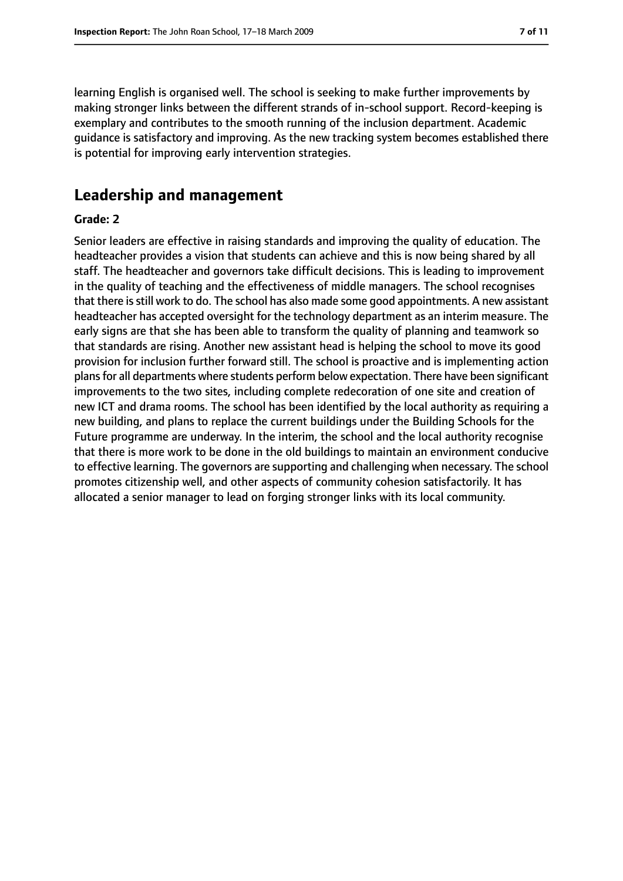learning English is organised well. The school is seeking to make further improvements by making stronger links between the different strands of in-school support. Record-keeping is exemplary and contributes to the smooth running of the inclusion department. Academic guidance is satisfactory and improving. As the new tracking system becomes established there is potential for improving early intervention strategies.

#### **Leadership and management**

#### **Grade: 2**

Senior leaders are effective in raising standards and improving the quality of education. The headteacher provides a vision that students can achieve and this is now being shared by all staff. The headteacher and governors take difficult decisions. This is leading to improvement in the quality of teaching and the effectiveness of middle managers. The school recognises that there is still work to do. The school has also made some good appointments. A new assistant headteacher has accepted oversight for the technology department as an interim measure. The early signs are that she has been able to transform the quality of planning and teamwork so that standards are rising. Another new assistant head is helping the school to move its good provision for inclusion further forward still. The school is proactive and is implementing action plans for all departments where students perform below expectation. There have been significant improvements to the two sites, including complete redecoration of one site and creation of new ICT and drama rooms. The school has been identified by the local authority as requiring a new building, and plans to replace the current buildings under the Building Schools for the Future programme are underway. In the interim, the school and the local authority recognise that there is more work to be done in the old buildings to maintain an environment conducive to effective learning. The governors are supporting and challenging when necessary. The school promotes citizenship well, and other aspects of community cohesion satisfactorily. It has allocated a senior manager to lead on forging stronger links with its local community.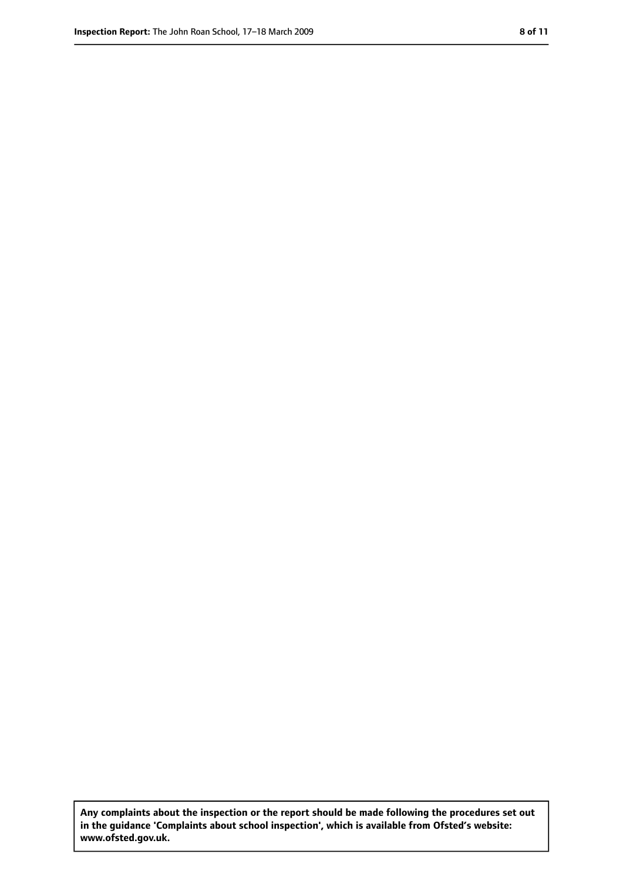**Any complaints about the inspection or the report should be made following the procedures set out in the guidance 'Complaints about school inspection', which is available from Ofsted's website: www.ofsted.gov.uk.**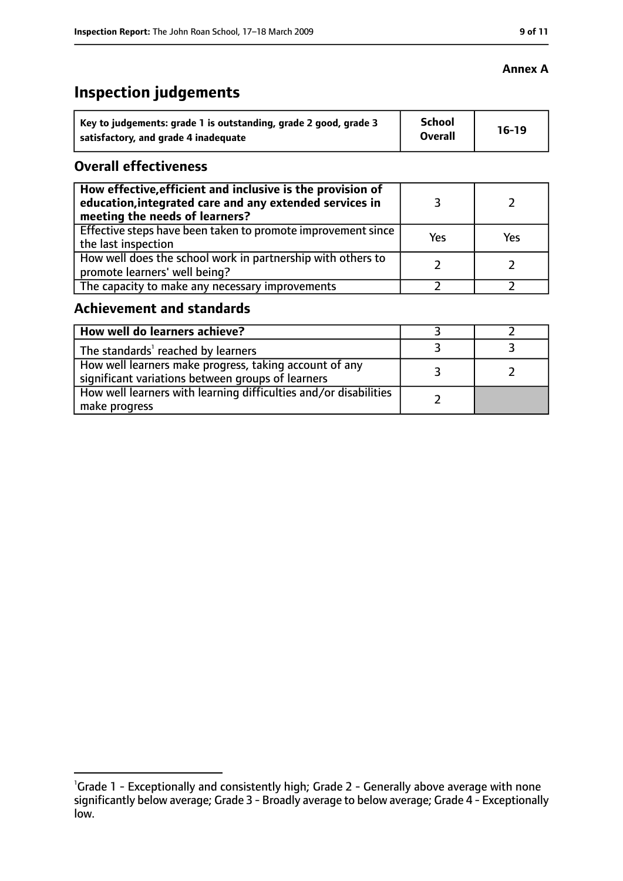# **Inspection judgements**

| Key to judgements: grade 1 is outstanding, grade 2 good, grade 3 | <b>School</b><br><b>Overall</b> | $16-19$ |
|------------------------------------------------------------------|---------------------------------|---------|
| satisfactory, and grade 4 inadequate                             |                                 |         |

#### **Overall effectiveness**

| How effective, efficient and inclusive is the provision of<br>education, integrated care and any extended services in<br>meeting the needs of learners? |     |     |
|---------------------------------------------------------------------------------------------------------------------------------------------------------|-----|-----|
| Effective steps have been taken to promote improvement since<br>the last inspection                                                                     | Yes | Yes |
| How well does the school work in partnership with others to<br>promote learners' well being?                                                            |     |     |
| The capacity to make any necessary improvements                                                                                                         |     |     |

#### **Achievement and standards**

| How well do learners achieve?                                                                               |  |
|-------------------------------------------------------------------------------------------------------------|--|
| The standards <sup>1</sup> reached by learners                                                              |  |
| How well learners make progress, taking account of any<br>significant variations between groups of learners |  |
| How well learners with learning difficulties and/or disabilities<br>make progress                           |  |

#### **Annex A**

<sup>&</sup>lt;sup>1</sup>Grade 1 - Exceptionally and consistently high; Grade 2 - Generally above average with none significantly below average; Grade 3 - Broadly average to below average; Grade 4 - Exceptionally low.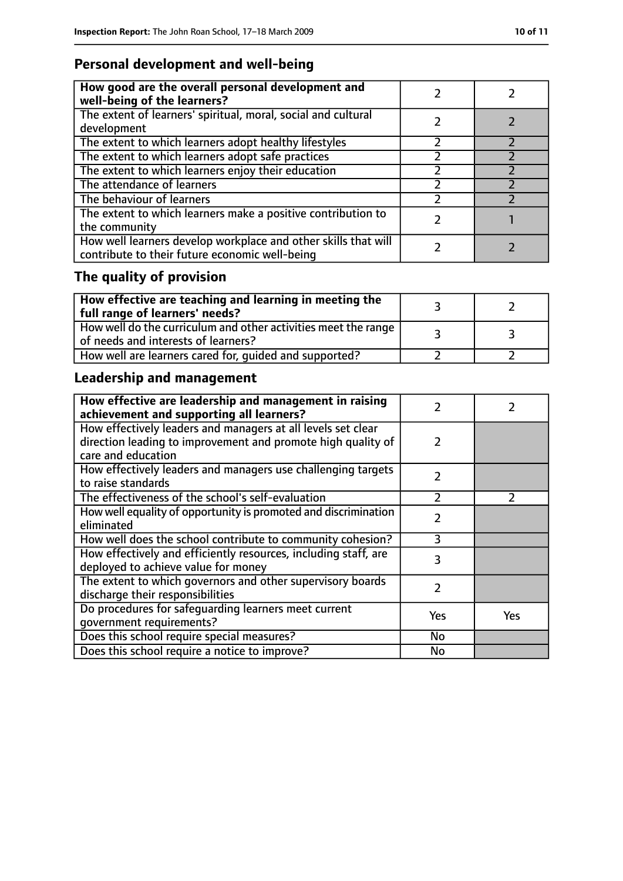### **Personal development and well-being**

| How good are the overall personal development and<br>well-being of the learners?                                 |  |
|------------------------------------------------------------------------------------------------------------------|--|
| The extent of learners' spiritual, moral, social and cultural<br>development                                     |  |
| The extent to which learners adopt healthy lifestyles                                                            |  |
| The extent to which learners adopt safe practices                                                                |  |
| The extent to which learners enjoy their education                                                               |  |
| The attendance of learners                                                                                       |  |
| The behaviour of learners                                                                                        |  |
| The extent to which learners make a positive contribution to<br>the community                                    |  |
| How well learners develop workplace and other skills that will<br>contribute to their future economic well-being |  |

# **The quality of provision**

| $\mid$ How effective are teaching and learning in meeting the<br>full range of learners' needs?       |  |
|-------------------------------------------------------------------------------------------------------|--|
| How well do the curriculum and other activities meet the range<br>of needs and interests of learners? |  |
| How well are learners cared for, quided and supported?                                                |  |

# **Leadership and management**

| How effective are leadership and management in raising<br>achievement and supporting all learners?                           |               |               |
|------------------------------------------------------------------------------------------------------------------------------|---------------|---------------|
| How effectively leaders and managers at all levels set clear<br>direction leading to improvement and promote high quality of | 2             |               |
| care and education                                                                                                           |               |               |
| How effectively leaders and managers use challenging targets<br>to raise standards                                           | $\mathcal{P}$ |               |
| The effectiveness of the school's self-evaluation                                                                            | $\mathcal{P}$ | $\mathcal{P}$ |
| How well equality of opportunity is promoted and discrimination<br>eliminated                                                | 2             |               |
| How well does the school contribute to community cohesion?                                                                   | ξ             |               |
| How effectively and efficiently resources, including staff, are<br>deployed to achieve value for money                       | 3             |               |
| The extent to which governors and other supervisory boards<br>discharge their responsibilities                               | $\mathcal{P}$ |               |
| Do procedures for safequarding learners meet current<br>qovernment requirements?                                             | Yes           | Yes           |
| Does this school require special measures?                                                                                   | <b>No</b>     |               |
| Does this school require a notice to improve?                                                                                | No            |               |